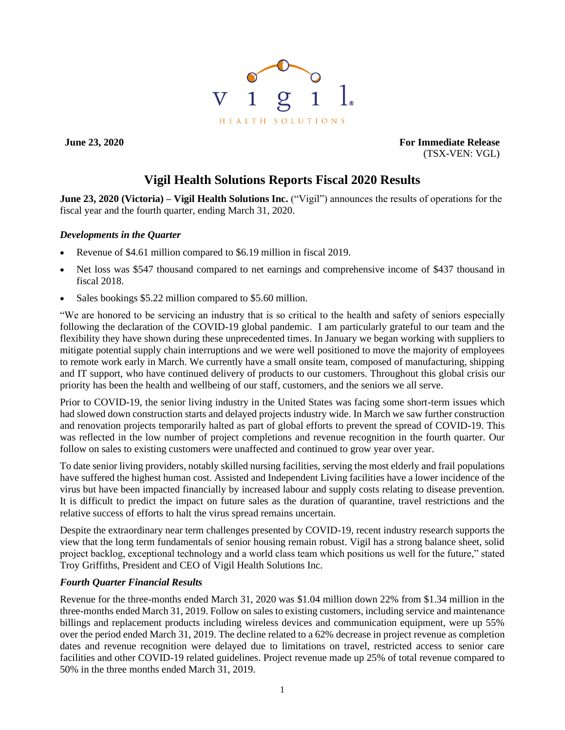

**June 23, 2020 For Immediate Release** (TSX-VEN: VGL)

# **Vigil Health Solutions Reports Fiscal 2020 Results**

**June 23, 2020 (Victoria) – Vigil Health Solutions Inc.** ("Vigil") announces the results of operations for the fiscal year and the fourth quarter, ending March 31, 2020.

## *Developments in the Quarter*

- Revenue of \$4.61 million compared to \$6.19 million in fiscal 2019.
- Net loss was \$547 thousand compared to net earnings and comprehensive income of \$437 thousand in fiscal 2018.
- Sales bookings \$5.22 million compared to \$5.60 million.

"We are honored to be servicing an industry that is so critical to the health and safety of seniors especially following the declaration of the COVID-19 global pandemic. I am particularly grateful to our team and the flexibility they have shown during these unprecedented times. In January we began working with suppliers to mitigate potential supply chain interruptions and we were well positioned to move the majority of employees to remote work early in March. We currently have a small onsite team, composed of manufacturing, shipping and IT support, who have continued delivery of products to our customers. Throughout this global crisis our priority has been the health and wellbeing of our staff, customers, and the seniors we all serve.

Prior to COVID-19, the senior living industry in the United States was facing some short-term issues which had slowed down construction starts and delayed projects industry wide. In March we saw further construction and renovation projects temporarily halted as part of global efforts to prevent the spread of COVID-19. This was reflected in the low number of project completions and revenue recognition in the fourth quarter. Our follow on sales to existing customers were unaffected and continued to grow year over year.

To date senior living providers, notably skilled nursing facilities, serving the most elderly and frail populations have suffered the highest human cost. Assisted and Independent Living facilities have a lower incidence of the virus but have been impacted financially by increased labour and supply costs relating to disease prevention. It is difficult to predict the impact on future sales as the duration of quarantine, travel restrictions and the relative success of efforts to halt the virus spread remains uncertain.

Despite the extraordinary near term challenges presented by COVID-19, recent industry research supports the view that the long term fundamentals of senior housing remain robust. Vigil has a strong balance sheet, solid project backlog, exceptional technology and a world class team which positions us well for the future," stated Troy Griffiths, President and CEO of Vigil Health Solutions Inc.

## *Fourth Quarter Financial Results*

Revenue for the three-months ended March 31, 2020 was \$1.04 million down 22% from \$1.34 million in the three-months ended March 31, 2019. Follow on sales to existing customers, including service and maintenance billings and replacement products including wireless devices and communication equipment, were up 55% over the period ended March 31, 2019. The decline related to a 62% decrease in project revenue as completion dates and revenue recognition were delayed due to limitations on travel, restricted access to senior care facilities and other COVID-19 related guidelines. Project revenue made up 25% of total revenue compared to 50% in the three months ended March 31, 2019.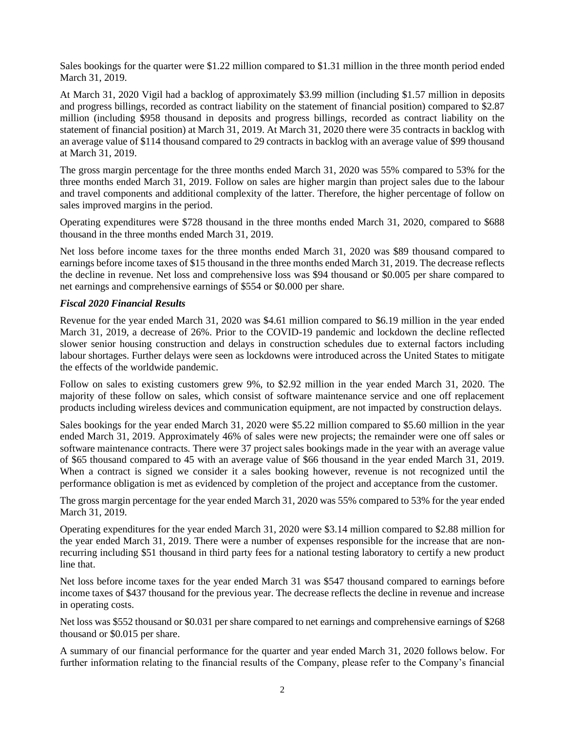Sales bookings for the quarter were \$1.22 million compared to \$1.31 million in the three month period ended March 31, 2019.

At March 31, 2020 Vigil had a backlog of approximately \$3.99 million (including \$1.57 million in deposits and progress billings, recorded as contract liability on the statement of financial position) compared to \$2.87 million (including \$958 thousand in deposits and progress billings, recorded as contract liability on the statement of financial position) at March 31, 2019. At March 31, 2020 there were 35 contracts in backlog with an average value of \$114 thousand compared to 29 contracts in backlog with an average value of \$99 thousand at March 31, 2019.

The gross margin percentage for the three months ended March 31, 2020 was 55% compared to 53% for the three months ended March 31, 2019. Follow on sales are higher margin than project sales due to the labour and travel components and additional complexity of the latter. Therefore, the higher percentage of follow on sales improved margins in the period.

Operating expenditures were \$728 thousand in the three months ended March 31, 2020, compared to \$688 thousand in the three months ended March 31, 2019.

Net loss before income taxes for the three months ended March 31, 2020 was \$89 thousand compared to earnings before income taxes of \$15 thousand in the three months ended March 31, 2019. The decrease reflects the decline in revenue. Net loss and comprehensive loss was \$94 thousand or \$0.005 per share compared to net earnings and comprehensive earnings of \$554 or \$0.000 per share.

## *Fiscal 2020 Financial Results*

Revenue for the year ended March 31, 2020 was \$4.61 million compared to \$6.19 million in the year ended March 31, 2019, a decrease of 26%. Prior to the COVID-19 pandemic and lockdown the decline reflected slower senior housing construction and delays in construction schedules due to external factors including labour shortages. Further delays were seen as lockdowns were introduced across the United States to mitigate the effects of the worldwide pandemic.

Follow on sales to existing customers grew 9%, to \$2.92 million in the year ended March 31, 2020. The majority of these follow on sales, which consist of software maintenance service and one off replacement products including wireless devices and communication equipment, are not impacted by construction delays.

Sales bookings for the year ended March 31, 2020 were \$5.22 million compared to \$5.60 million in the year ended March 31, 2019. Approximately 46% of sales were new projects; the remainder were one off sales or software maintenance contracts. There were 37 project sales bookings made in the year with an average value of \$65 thousand compared to 45 with an average value of \$66 thousand in the year ended March 31, 2019. When a contract is signed we consider it a sales booking however, revenue is not recognized until the performance obligation is met as evidenced by completion of the project and acceptance from the customer.

The gross margin percentage for the year ended March 31, 2020 was 55% compared to 53% for the year ended March 31, 2019.

Operating expenditures for the year ended March 31, 2020 were \$3.14 million compared to \$2.88 million for the year ended March 31, 2019. There were a number of expenses responsible for the increase that are nonrecurring including \$51 thousand in third party fees for a national testing laboratory to certify a new product line that.

Net loss before income taxes for the year ended March 31 was \$547 thousand compared to earnings before income taxes of \$437 thousand for the previous year. The decrease reflects the decline in revenue and increase in operating costs.

Net loss was \$552 thousand or \$0.031 per share compared to net earnings and comprehensive earnings of \$268 thousand or \$0.015 per share.

A summary of our financial performance for the quarter and year ended March 31, 2020 follows below. For further information relating to the financial results of the Company, please refer to the Company's financial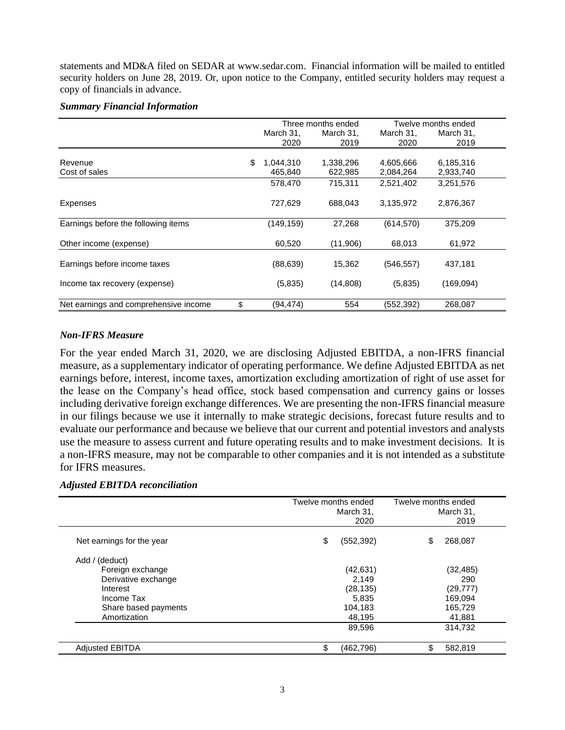statements and MD&A filed on SEDAR at [www.sedar.com.](http://www.sedar.com/) Financial information will be mailed to entitled security holders on June 28, 2019. Or, upon notice to the Company, entitled security holders may request a copy of financials in advance.

# *Summary Financial Information*

|                                             | Three months ended |           |            | Twelve months ended |
|---------------------------------------------|--------------------|-----------|------------|---------------------|
|                                             | March 31.          | March 31, | March 31,  | March 31,           |
|                                             | 2020               | 2019      | 2020       | 2019                |
|                                             |                    |           |            |                     |
| Revenue                                     | \$<br>1,044,310    | 1,338,296 | 4,605,666  | 6,185,316           |
| Cost of sales                               | 465,840            | 622,985   | 2,084,264  | 2,933,740           |
|                                             | 578,470            | 715.311   | 2,521,402  | 3,251,576           |
| Expenses                                    | 727,629            | 688,043   | 3,135,972  | 2,876,367           |
| Earnings before the following items         | (149, 159)         | 27,268    | (614, 570) | 375,209             |
| Other income (expense)                      | 60,520             | (11,906)  | 68,013     | 61,972              |
| Earnings before income taxes                | (88, 639)          | 15,362    | (546, 557) | 437,181             |
| Income tax recovery (expense)               | (5,835)            | (14,808)  | (5,835)    | (169,094)           |
| Net earnings and comprehensive income<br>\$ | (94,474)           | 554       | (552, 392) | 268,087             |

# *Non-IFRS Measure*

For the year ended March 31, 2020, we are disclosing Adjusted EBITDA, a non-IFRS financial measure, as a supplementary indicator of operating performance. We define Adjusted EBITDA as net earnings before, interest, income taxes, amortization excluding amortization of right of use asset for the lease on the Company's head office, stock based compensation and currency gains or losses including derivative foreign exchange differences. We are presenting the non-IFRS financial measure in our filings because we use it internally to make strategic decisions, forecast future results and to evaluate our performance and because we believe that our current and potential investors and analysts use the measure to assess current and future operating results and to make investment decisions. It is a non-IFRS measure, may not be comparable to other companies and it is not intended as a substitute for IFRS measures.

## *Adjusted EBITDA reconciliation*

|                           | Twelve months ended<br>March 31,<br>2020 | Twelve months ended<br>March 31,<br>2019 |
|---------------------------|------------------------------------------|------------------------------------------|
| Net earnings for the year | \$<br>(552, 392)                         | \$<br>268,087                            |
| Add / (deduct)            |                                          |                                          |
| Foreign exchange          | (42, 631)                                | (32, 485)                                |
| Derivative exchange       | 2,149                                    | 290                                      |
| Interest                  | (28, 135)                                | (29, 777)                                |
| Income Tax                | 5,835                                    | 169,094                                  |
| Share based payments      | 104,183                                  | 165,729                                  |
| Amortization              | 48,195                                   | 41,881                                   |
|                           | 89,596                                   | 314,732                                  |
| <b>Adjusted EBITDA</b>    | \$<br>(462,796)                          | \$<br>582,819                            |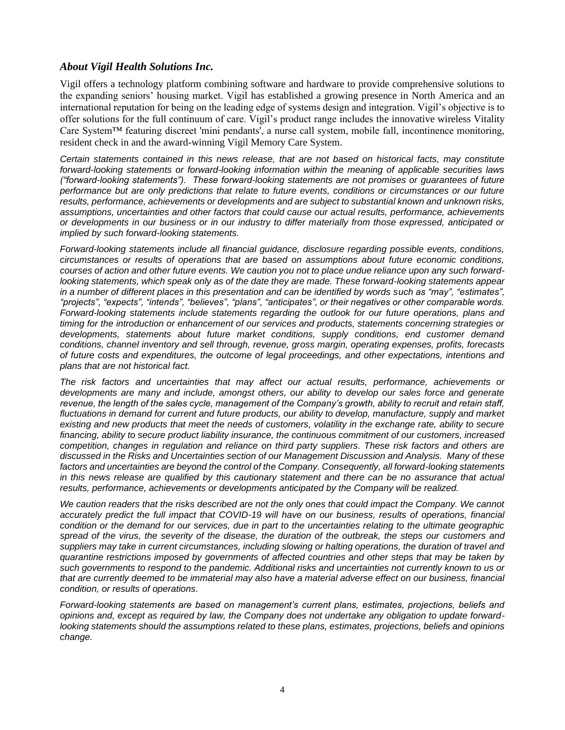# *About Vigil Health Solutions Inc.*

Vigil offers a technology platform combining software and hardware to provide comprehensive solutions to the expanding seniors' housing market. Vigil has established a growing presence in North America and an international reputation for being on the leading edge of systems design and integration. Vigil's objective is to offer solutions for the full continuum of care. Vigil's product range includes the innovative wireless Vitality Care System™ featuring discreet 'mini pendants', a nurse call system, mobile fall, incontinence monitoring, resident check in and the award-winning Vigil Memory Care System.

*Certain statements contained in this news release, that are not based on historical facts, may constitute forward-looking statements or forward-looking information within the meaning of applicable securities laws ("forward-looking statements"). These forward-looking statements are not promises or guarantees of future performance but are only predictions that relate to future events, conditions or circumstances or our future results, performance, achievements or developments and are subject to substantial known and unknown risks, assumptions, uncertainties and other factors that could cause our actual results, performance, achievements or developments in our business or in our industry to differ materially from those expressed, anticipated or implied by such forward-looking statements.*

*Forward-looking statements include all financial guidance, disclosure regarding possible events, conditions, circumstances or results of operations that are based on assumptions about future economic conditions, courses of action and other future events. We caution you not to place undue reliance upon any such forwardlooking statements, which speak only as of the date they are made. These forward-looking statements appear in a number of different places in this presentation and can be identified by words such as "may", "estimates", "projects", "expects", "intends", "believes", "plans", "anticipates", or their negatives or other comparable words. Forward-looking statements include statements regarding the outlook for our future operations, plans and timing for the introduction or enhancement of our services and products, statements concerning strategies or developments, statements about future market conditions, supply conditions, end customer demand conditions, channel inventory and sell through, revenue, gross margin, operating expenses, profits, forecasts of future costs and expenditures, the outcome of legal proceedings, and other expectations, intentions and plans that are not historical fact.*

*The risk factors and uncertainties that may affect our actual results, performance, achievements or developments are many and include, amongst others, our ability to develop our sales force and generate*  revenue, the length of the sales cycle, management of the Company's growth, ability to recruit and retain staff, *fluctuations in demand for current and future products, our ability to develop, manufacture, supply and market*  existing and new products that meet the needs of customers, volatility in the exchange rate, ability to secure *financing, ability to secure product liability insurance, the continuous commitment of our customers, increased competition, changes in regulation and reliance on third party suppliers. These risk factors and others are discussed in the Risks and Uncertainties section of our Management Discussion and Analysis. Many of these factors and uncertainties are beyond the control of the Company. Consequently, all forward-looking statements*  in this news release are qualified by this cautionary statement and there can be no assurance that actual results, performance, achievements or developments anticipated by the Company will be realized.

*We caution readers that the risks described are not the only ones that could impact the Company. We cannot accurately predict the full impact that COVID-19 will have on our business, results of operations, financial condition or the demand for our services, due in part to the uncertainties relating to the ultimate geographic spread of the virus, the severity of the disease, the duration of the outbreak, the steps our customers and suppliers may take in current circumstances, including slowing or halting operations, the duration of travel and quarantine restrictions imposed by governments of affected countries and other steps that may be taken by such governments to respond to the pandemic. Additional risks and uncertainties not currently known to us or*  that are currently deemed to be immaterial may also have a material adverse effect on our business, financial *condition, or results of operations.*

*Forward-looking statements are based on management's current plans, estimates, projections, beliefs and opinions and, except as required by law, the Company does not undertake any obligation to update forwardlooking statements should the assumptions related to these plans, estimates, projections, beliefs and opinions change.*